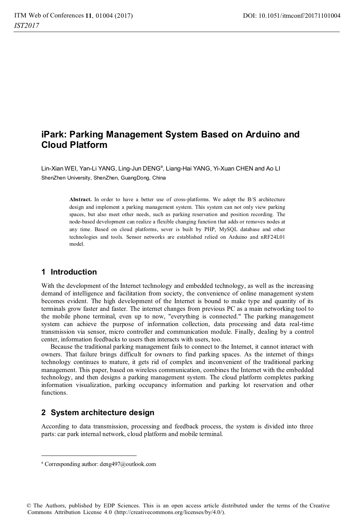# **iPark: Parking Management System Based on Arduino and Cloud Platform**

Lin-Xian WEI, Yan-Li YANG, Ling-Jun DENG<sup>a</sup>, Liang-Hai YANG, Yi-Xuan CHEN and Ao LI ShenZhen University, ShenZhen, GuangDong, China

> Abstract. In order to have a better use of cross-platforms. We adopt the B/S architecture design and implement a parking management system. This system can not only view parking spaces, but also meet other needs, such as parking reservation and position recording. The node-based development can realize a flexible changing function that adds or removes nodes at any time. Based on cloud platforms, sever is built by PHP, MySQL database and other technologies and tools. Sensor networks are established relied on Arduino and nRF24L01 model.

### **1 Introduction**

With the development of the Internet technology and embedded technology, as well as the increasing demand of intelligence and facilitation from society, the convenience of online management system becomes evident. The high development of the Internet is bound to make type and quantity of its terminals grow faster and faster. The internet changes from previous PC as a main networking tool to the mobile phone terminal, even up to now, "everything is connected." The parking management system can achieve the purpose of information collection, data processing and data real-time transmission via sensor, micro controller and communication module. Finally, dealing by a control center, information feedbacks to users then interacts with users, too.

Because the traditional parking management fails to connect to the Internet, it cannot interact with owners. That failure brings difficult for owners to find parking spaces. As the internet of things technology continues to mature, it gets rid of complex and inconvenient of the traditional parking management. This paper, based on wireless communication, combines the Internet with the embedded technology, and then designs a parking management system. The cloud platform completes parking information visualization, parking occupancy information and parking lot reservation and other functions.

### **2 System architecture design**

According to data transmission, processing and feedback process, the system is divided into three parts: car park internal network, cloud platform and mobile terminal.

 $\overline{a}$ 

a Corresponding author: deng497@outlook.com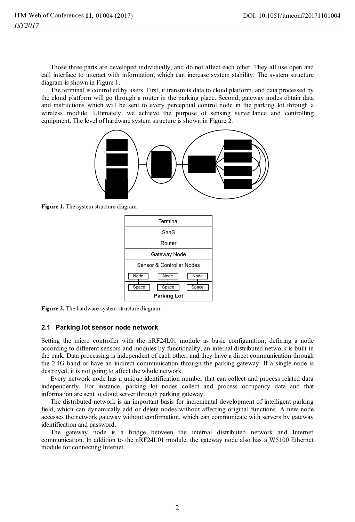Those three parts are developed individually, and do not affect each other. They all use open and call interface to interact with information, which can increase system stability. The system structure diagram is shown in Figure 1.

The terminal is controlled by users. First, it transmits data to cloud platform, and data processed by the cloud platform will go through a router in the parking place. Second, gateway nodes obtain data and instructions which will be sent to every perceptual control node in the parking lot through a wireless module. Ultimately, we achieve the purpose of sensing surveillance and controlling equipment. The level of hardware system structure is shown in Figure 2.



**Figure 1.** The system structure diagram.



**Figure 2.** The hardware system structure diagram.

#### **2.1 Parking lot sensor node network**

Setting the micro controller with the nRF24L01 module as basic configuration, defining a node according to different sensors and modules by functionality, an internal distributed network is built in the park. Data processing is independent of each other, and they have a direct communication through the 2.4G band or have an indirect communication through the parking gateway. If a single node is destroyed, it is not going to affect the whole network.

Every network node has a unique identification number that can collect and process related data independently. For instance, parking lot nodes collect and process occupancy data and that information are sent to cloud server through parking gateway.

The distributed network is an important basis for incremental development of intelligent parking field, which can dynamically add or delete nodes without affecting original functions. A new node accesses the network gateway without confirmation, which can communicate with servers by gateway identification and password.

The gateway node is a bridge between the internal distributed network and Internet communication. In addition to the nRF24L01 module, the gateway node also has a W5100 Ethernet module for connecting Internet.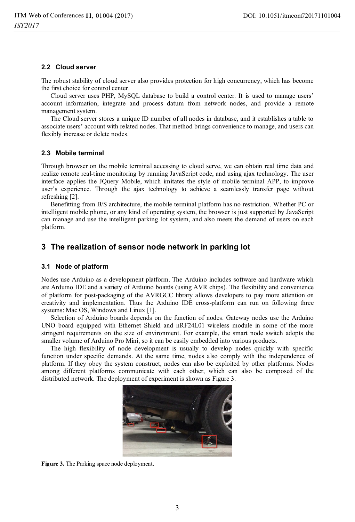#### **2.2 Cloud server**

The robust stability of cloud server also provides protection for high concurrency, which has become the first choice for control center.

Cloud server uses PHP, MySQL database to build a control center. It is used to manage users' account information, integrate and process datum from network nodes, and provide a remote management system.

The Cloud server stores a unique ID number of all nodes in database, and it establishes a table to associate users' account with related nodes. That method brings convenience to manage, and users can flexibly increase or delete nodes.

#### **2.3 Mobile terminal**

Through browser on the mobile terminal accessing to cloud serve, we can obtain real time data and realize remote real-time monitoring by running JavaScript code, and using ajax technology. The user interface applies the JQuery Mobile, which imitates the style of mobile terminal APP, to improve user's experience. Through the ajax technology to achieve a seamlessly transfer page without refreshing [2].

Benefitting from B/S architecture, the mobile terminal platform has no restriction. Whether PC or intelligent mobile phone, or any kind of operating system, the browser is just supported by JavaScript can manage and use the intelligent parking lot system, and also meets the demand of users on each platform.

## **3 The realization of sensor node network in parking lot**

#### **3.1 Node of platform**

Nodes use Arduino as a development platform. The Arduino includes software and hardware which are Arduino IDE and a variety of Arduino boards (using AVR chips). The flexibility and convenience of platform for post-packaging of the AVRGCC library allows developers to pay more attention on creativity and implementation. Thus the Arduino IDE cross-platform can run on following three systems: Mac OS, Windows and Linux [1].

Selection of Arduino boards depends on the function of nodes. Gateway nodes use the Arduino UNO board equipped with Ethernet Shield and nRF24L01 wireless module in some of the more stringent requirements on the size of environment. For example, the smart node switch adopts the smaller volume of Arduino Pro Mini, so it can be easily embedded into various products.

The high flexibility of node development is usually to develop nodes quickly with specific function under specific demands. At the same time, nodes also comply with the independence of platform. If they obey the system construct, nodes can also be exploited by other platforms. Nodes among different platforms communicate with each other, which can also be composed of the distributed network. The deployment of experiment is shown as Figure 3.



**Figure 3.** The Parking space node deployment.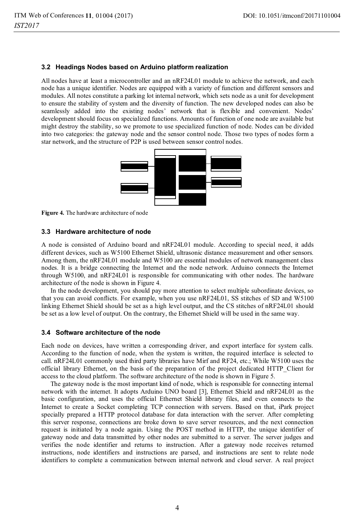#### **3.2 Headings Nodes based on Arduino platform realization**

All nodes have at least a microcontroller and an nRF24L01 module to achieve the network, and each node has a unique identifier. Nodes are equipped with a variety of function and different sensors and modules. All notes constitute a parking lot internal network, which sets node as a unit for development to ensure the stability of system and the diversity of function. The new developed nodes can also be seamlessly added into the existing nodes' network that is flexible and convenient. Nodes' development should focus on specialized functions. Amounts of function of one node are available but might destroy the stability, so we promote to use specialized function of node. Nodes can be divided into two categories: the gateway node and the sensor control node. Those two types of nodes form a star network, and the structure of P2P is used between sensor control nodes.



**Figure 4.** The hardware architecture of node

#### **3.3 Hardware architecture of node**

A node is consisted of Arduino board and nRF24L01 module. According to special need, it adds different devices, such as W5100 Ethernet Shield, ultrasonic distance measurement and other sensors. Among them, the nRF24L01 module and W5100 are essential modules of network management class nodes. It is a bridge connecting the Internet and the node network. Arduino connects the Internet through W5100, and nRF24L01 is responsible for communicating with other nodes. The hardware architecture of the node is shown in Figure 4.

In the node development, you should pay more attention to select multiple subordinate devices, so that you can avoid conflicts. For example, when you use nRF24L01, SS stitches of SD and W5100 linking Ethernet Shield should be set as a high level output, and the CS stitches of nRF24L01 should be set as a low level of output. On the contrary, the Ethernet Shield will be used in the same way.

#### **3.4 Software architecture of the node**

Each node on devices, have written a corresponding driver, and export interface for system calls. According to the function of node, when the system is written, the required interface is selected to call. nRF24L01 commonly used third party libraries have Mirf and RF24, etc.; While W5100 uses the official library Ethernet, on the basis of the preparation of the project dedicated HTTP\_Client for access to the cloud platform. The software architecture of the node is shown in Figure 5.

The gateway node is the most important kind of node, which is responsible for connecting internal network with the internet. It adopts Arduino UNO board [3], Ethernet Shield and nRF24L01 as the basic configuration, and uses the official Ethernet Shield library files, and even connects to the Internet to create a Socket completing TCP connection with servers. Based on that, iPark project specially prepared a HTTP protocol database for data interaction with the server. After completing this server response, connections are broke down to save server resources, and the next connection request is initiated by a node again. Using the POST method in HTTP, the unique identifier of gateway node and data transmitted by other nodes are submitted to a server. The server judges and verifies the node identifier and returns to instruction. After a gateway node receives returned instructions, node identifiers and instructions are parsed, and instructions are sent to relate node identifiers to complete a communication between internal network and cloud server. A real project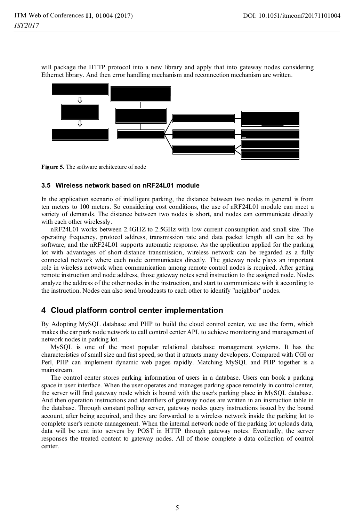will package the HTTP protocol into a new library and apply that into gateway nodes considering Ethernet library. And then error handling mechanism and reconnection mechanism are written.



**Figure 5.** The software architecture of node

#### **3.5 Wireless network based on nRF24L01 module**

In the application scenario of intelligent parking, the distance between two nodes in general is from ten meters to 100 meters. So considering cost conditions, the use of nRF24L01 module can meet a variety of demands. The distance between two nodes is short, and nodes can communicate directly with each other wirelessly.

nRF24L01 works between 2.4GHZ to 2.5GHz with low current consumption and small size. The operating frequency, protocol address, transmission rate and data packet length all can be set by software, and the nRF24L01 supports automatic response. As the application applied for the parking lot with advantages of short-distance transmission, wireless network can be regarded as a fully connected network where each node communicates directly. The gateway node plays an important role in wireless network when communication among remote control nodes is required. After getting remote instruction and node address, those gateway notes send instruction to the assigned node. Nodes analyze the address of the other nodes in the instruction, and start to communicate with it according to the instruction. Nodes can also send broadcasts to each other to identify "neighbor" nodes.

# **4 Cloud platform control center implementation**

By Adopting MySQL database and PHP to build the cloud control center, we use the form, which makes the car park node network to call control center API, to achieve monitoring and management of network nodes in parking lot.

MySQL is one of the most popular relational database management systems. It has the characteristics of small size and fast speed, so that it attracts many developers. Compared with CGI or Perl, PHP can implement dynamic web pages rapidly. Matching MySQL and PHP together is a mainstream.

The control center stores parking information of users in a database. Users can book a parking space in user interface. When the user operates and manages parking space remotely in control center, the server will find gateway node which is bound with the user's parking place in MySQL database. And then operation instructions and identifiers of gateway nodes are written in an instruction table in the database. Through constant polling server, gateway nodes query instructions issued by the bound account, after being acquired, and they are forwarded to a wireless network inside the parking lot to complete user's remote management. When the internal network node of the parking lot uploads data, data will be sent into servers by POST in HTTP through gateway notes. Eventually, the server responses the treated content to gateway nodes. All of those complete a data collection of control center.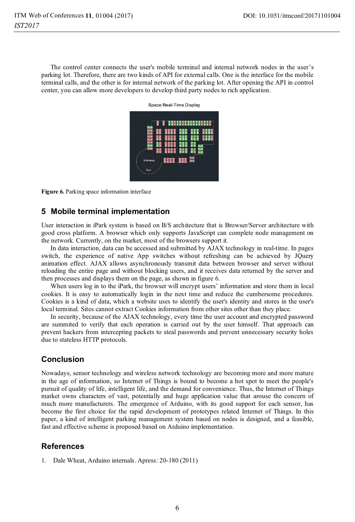The control center connects the user's mobile terminal and internal network nodes in the user's parking lot. Therefore, there are two kinds of API for external calls. One is the interface for the mobile terminal calls, and the other is for internal network of the parking lot. After opening the API in control center, you can allow more developers to develop third party nodes to rich application.

| <b>Space Real-Time Display</b> |                  |                                                                                               |               |  |
|--------------------------------|------------------|-----------------------------------------------------------------------------------------------|---------------|--|
| 21 22                          | K<br>23 24 25 26 | 66 67 68<br>76 77 78<br><b>I d<mark>en</mark> 102 <mark>aa</mark>nder <mark>en </mark>aas</b> | 79 60 81<br>× |  |
| Entrance<br>Exit               |                  | 31 32                                                                                         | 300           |  |

**Figure 6.** Parking space information interface

## **5 Mobile terminal implementation**

User interaction in iPark system is based on B/S architecture that is Browser/Server architecture with good cross platform. A browser which only supports JavaScript can complete node management on the network. Currently, on the market, most of the browsers support it.

In data interaction, data can be accessed and submitted by AJAX technology in real-time. In pages switch, the experience of native App switches without refreshing can be achieved by JQuery animation effect. AJAX allows asynchronously transmit data between browser and server without reloading the entire page and without blocking users, and it receives data returned by the server and then processes and displays them on the page, as shown in figure 6.

When users log in to the iPark, the browser will encrypt users' information and store them in local cookies. It is easy to automatically login in the next time and reduce the cumbersome procedures. Cookies is a kind of data, which a website uses to identify the user's identity and stores in the user's local terminal. Sites cannot extract Cookies information from other sites other than they place.

In security, because of the AJAX technology, every time the user account and encrypted password are summited to verify that each operation is carried out by the user himself. That approach can prevent hackers from intercepting packets to steal passwords and prevent unnecessary security holes due to stateless HTTP protocols.

# **Conclusion**

Nowadays, sensor technology and wireless network technology are becoming more and more mature in the age of information, so Internet of Things is bound to become a hot spot to meet the people's pursuit of quality of life, intelligent life, and the demand for convenience. Thus, the Internet of Things market owns characters of vast, potentially and huge application value that arouse the concern of much more manufacturers. The emergence of Arduino, with its good support for each sensor, has become the first choice for the rapid development of prototypes related Internet of Things. In this paper, a kind of intelligent parking management system based on nodes is designed, and a feasible, fast and effective scheme is proposed based on Arduino implementation.

# **References**

1. Dale Wheat, Arduino internals. Apress: 20-180 (2011)